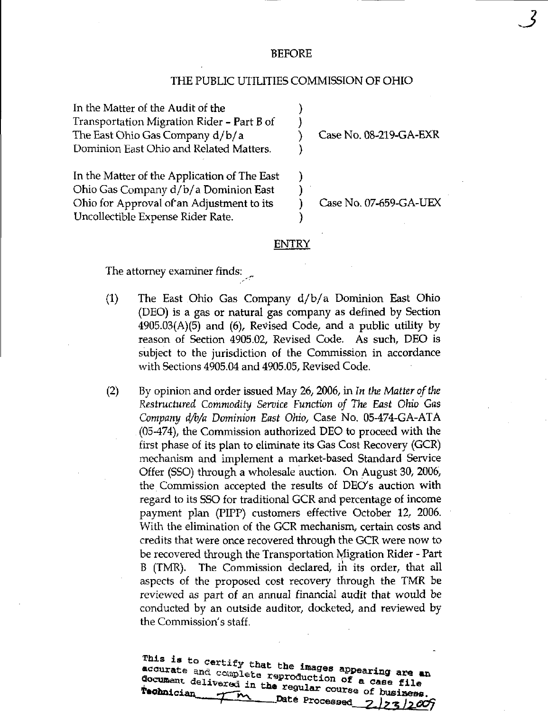## BEFORE

## THE PUBLIC UTILITIES COMMISSION OF OHIO

In the Matter of the Audit of the Transportation Migration Rider - Part B of The East Ohio Gas Company d/b/ a Dominion East Ohio and Related Matters.

Case No. 08-219-GA-EXR

 $\mathcal{S}$ 

In the Matter of the Application of The East Ohio Gas Company d/b/ a Dominion East Ohio for Approval of'an Adjustment to its Uncollectible Expense Rider Rate.

Case No. 07-659-GA-UEX

## ENTRY

The attorney examiner finds;

- (1) The East Ohio Gas Company d/b/ a Dominion East Ohio (DEO) is a gas or natural gas company as defined by Section  $4905.03(A)(5)$  and  $(6)$ , Revised Code, and a public utility by reason of Section 4905.02, Revised Code. As such, DEO is subject to the jurisdiction of the Commission in accordance with Sections 4905.04 and 4905.05, Revised Code.
- (2) By opinion and order issued May 26, 2006, in In the Matter of the Restructured Commodity Service Function of The East Ohio Gas Company d/b/a Dominion East Ohio, Case No. 05-474-GA-ATA (05-474), the Commission authorized DEO to proceed with the first phase of its plan to eliminate its Gas Cost Recovery (GCR) mechanism and implement a market-based Standard Service Offer (SSO) through a wholesale auction. On August 30, 2006, the Commission accepted the results of DEO's auction with regard to its SSO for traditional GCR and percentage of income payment plan (PIPP) customers effective October 12, 2006. With the elimination of the GCR mechanism, certain costs and credits that were once recovered through the GCR were now to be recovered through the Transportation Migration Rider - Part B (TMR). The Commission declared, in its order, that all aspects of the proposed cost recovery through the TMR be reviewed as part of an annual financial audit that would be conducted by an outside auditor, docketed, and reviewed by the Commission's staff.

document deliver ^ in t^^ r^T«J'°' ' °\* " °«^« ^^1 \* y\*OtoiGia«\_ .T— ^ ".« regular course of bueiae^ . 23/2009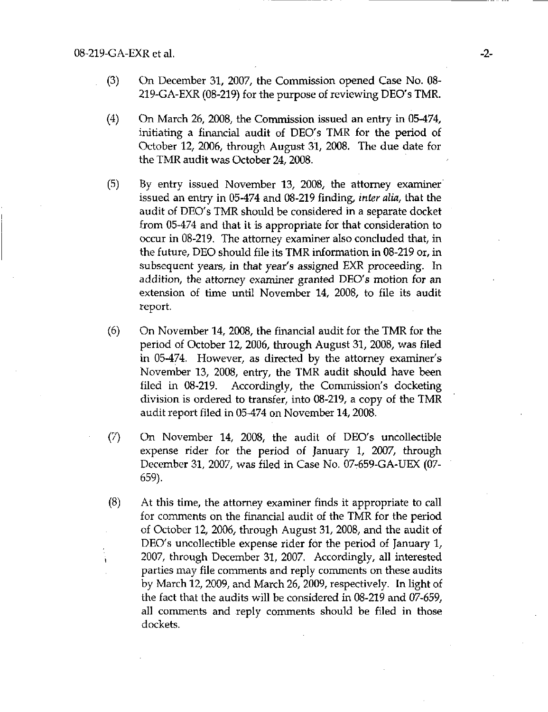- (3) On December 31, 2007, the Commission opened Case No. 08- 219-GA-EXR (08-219) for the purpose of reviewing DEO's TMR.
- (4) On March 26, 2008, the Commission issued an entry in 05-474, initiating a financial audit of DEO's TMR for the period of October 12, 2006, through August 31, 2008. The due date for the TMR audit was October 24, 2008.
- (5) By entry issued November 13, 2008, the attorney examiner issued an entry in 05-474 and 08-219 finding, inter alia, that the audit of DEO's TMR should be considered in a separate docket from 05-474 and that it is appropriate for that consideration to occur in 08-219. The attorney examiner also concluded that, in the future, DEO should file its TMR information in 08-219 or, in subsequent years, in that year's assigned EXR proceeding. In addition, the attorney examiner granted DEO's motion for an extension of time until November 14, 2008, to file its audit report.
- (6) On November 14, 2008, the financial audit for the TMR for the period of October 12, 2006, through August 31, 2008, was filed in 05-474. However, as directed by the attorney examiner's November 13, 2008, entry, the TMR audit should have been filed in  $08-219$ . Accordingly, the Commission's docketing division is ordered to transfer, into 08-219, a copy of the TMR audit report filed in 05-474 on November 14,2008.
- (7) On November 14, 2008, the audit of DEO's uncollectible expense rider for the period of January 1, 2007, through December 31, 2007, was filed in Case No. 07-659-GA-UEX (07- 659).
- (8) At this time, the attorney examiner finds it appropriate to call for comments on the financial audit of the TMR for the period of October 12, 2006, through August 31, 2008, and the audit of DEO's uncollectible expense rider for the period of January 1, , 2007, through December 31, 2007. Accordingly, all interested parties may file comments and reply comments on these audits by March 12, 2009, and March 26, 2009, respectively. In light of the fact that the audits will be considered in 08-219 and 07-659, all comments and reply comments should be filed in those dockets.